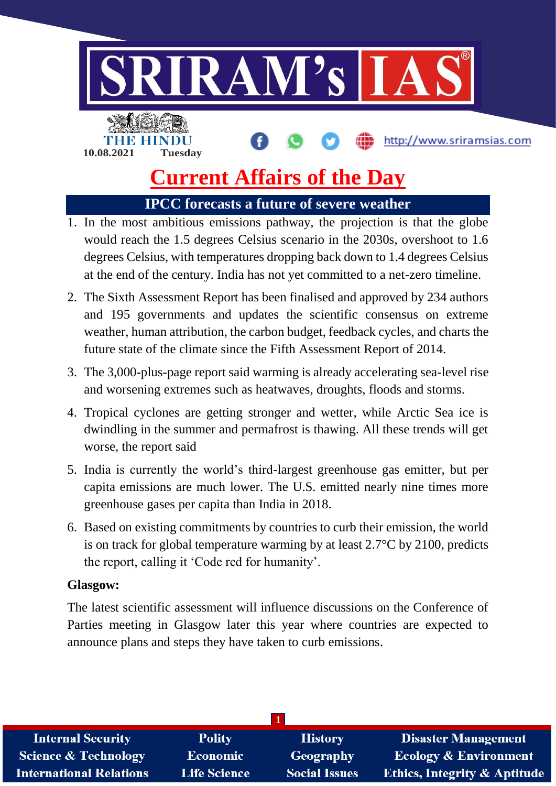

# **Current Affairs of the Day**

**IPCC forecasts a future of severe weather**

- 1. In the most ambitious emissions pathway, the projection is that the globe would reach the 1.5 degrees Celsius scenario in the 2030s, overshoot to 1.6 degrees Celsius, with temperatures dropping back down to 1.4 degrees Celsius at the end of the century. India has not yet committed to a net-zero timeline.
- 2. The Sixth Assessment Report has been finalised and approved by 234 authors and 195 governments and updates the scientific consensus on extreme weather, human attribution, the carbon budget, feedback cycles, and charts the future state of the climate since the Fifth Assessment Report of 2014.
- 3. The 3,000-plus-page report said warming is already accelerating sea-level rise and worsening extremes such as heatwaves, droughts, floods and storms.
- 4. Tropical cyclones are getting stronger and wetter, while Arctic Sea ice is dwindling in the summer and permafrost is thawing. All these trends will get worse, the report said
- 5. India is currently the world's third-largest greenhouse gas emitter, but per capita emissions are much lower. The U.S. emitted nearly nine times more greenhouse gases per capita than India in 2018.
- 6. Based on existing commitments by countries to curb their emission, the world is on track for global temperature warming by at least 2.7°C by 2100, predicts the report, calling it 'Code red for humanity'.

# **Glasgow:**

The latest scientific assessment will influence discussions on the Conference of Parties meeting in Glasgow later this year where countries are expected to announce plans and steps they have taken to curb emissions.

| <b>Internal Security</b>        | <b>Polity</b>       | <b>History</b>       | <b>Disaster Management</b>              |
|---------------------------------|---------------------|----------------------|-----------------------------------------|
| <b>Science &amp; Technology</b> | <b>Economic</b>     | Geography            | <b>Ecology &amp; Environment</b>        |
| <b>International Relations</b>  | <b>Life Science</b> | <b>Social Issues</b> | <b>Ethics, Integrity &amp; Aptitude</b> |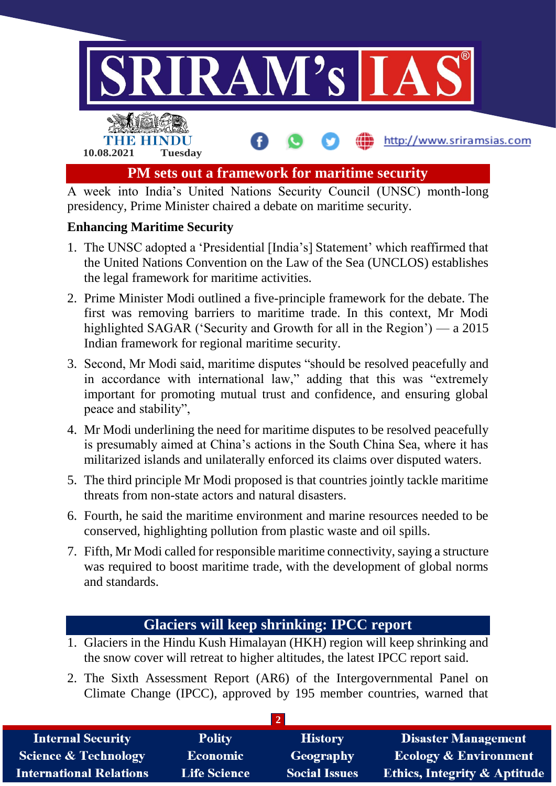

presidency, Prime Minister chaired a debate on maritime security.

#### **Enhancing Maritime Security**

- 1. The UNSC adopted a 'Presidential [India's] Statement' which reaffirmed that the United Nations Convention on the Law of the Sea (UNCLOS) establishes the legal framework for maritime activities.
- 2. Prime Minister Modi outlined a five-principle framework for the debate. The first was removing barriers to maritime trade. In this context, Mr Modi highlighted SAGAR ('Security and Growth for all in the Region') — a 2015 Indian framework for regional maritime security.
- 3. Second, Mr Modi said, maritime disputes "should be resolved peacefully and in accordance with international law," adding that this was "extremely important for promoting mutual trust and confidence, and ensuring global peace and stability",
- 4. Mr Modi underlining the need for maritime disputes to be resolved peacefully is presumably aimed at China's actions in the South China Sea, where it has militarized islands and unilaterally enforced its claims over disputed waters.
- 5. The third principle Mr Modi proposed is that countries jointly tackle maritime threats from non-state actors and natural disasters.
- 6. Fourth, he said the maritime environment and marine resources needed to be conserved, highlighting pollution from plastic waste and oil spills.
- 7. Fifth, Mr Modi called for responsible maritime connectivity, saying a structure was required to boost maritime trade, with the development of global norms and standards.

# **Glaciers will keep shrinking: IPCC report**

- 1. Glaciers in the Hindu Kush Himalayan (HKH) region will keep shrinking and the snow cover will retreat to higher altitudes, the latest IPCC report said.
- 2. The Sixth Assessment Report (AR6) of the Intergovernmental Panel on Climate Change (IPCC), approved by 195 member countries, warned that

| <b>Internal Security</b>        | <b>Polity</b>       | <b>History</b>       | <b>Disaster Management</b>              |
|---------------------------------|---------------------|----------------------|-----------------------------------------|
| <b>Science &amp; Technology</b> | <b>Economic</b>     | Geography            | <b>Ecology &amp; Environment</b>        |
| <b>International Relations</b>  | <b>Life Science</b> | <b>Social Issues</b> | <b>Ethics, Integrity &amp; Aptitude</b> |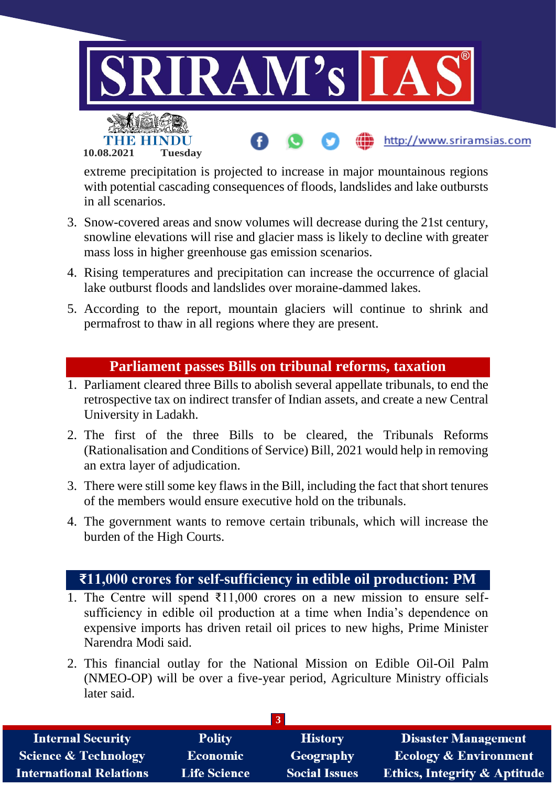

extreme precipitation is projected to increase in major mountainous regions with potential cascading consequences of floods, landslides and lake outbursts in all scenarios.

- 3. Snow-covered areas and snow volumes will decrease during the 21st century, snowline elevations will rise and glacier mass is likely to decline with greater mass loss in higher greenhouse gas emission scenarios.
- 4. Rising temperatures and precipitation can increase the occurrence of glacial lake outburst floods and landslides over moraine-dammed lakes.
- 5. According to the report, mountain glaciers will continue to shrink and permafrost to thaw in all regions where they are present.

#### **Parliament passes Bills on tribunal reforms, taxation**

- 1. Parliament cleared three Bills to abolish several appellate tribunals, to end the retrospective tax on indirect transfer of Indian assets, and create a new Central University in Ladakh.
- 2. The first of the three Bills to be cleared, the Tribunals Reforms (Rationalisation and Conditions of Service) Bill, 2021 would help in removing an extra layer of adjudication.
- 3. There were still some key flaws in the Bill, including the fact that short tenures of the members would ensure executive hold on the tribunals.
- 4. The government wants to remove certain tribunals, which will increase the burden of the High Courts.

## **₹11,000 crores for self-sufficiency in edible oil production: PM**

- 1. The Centre will spend  $\overline{311,000}$  crores on a new mission to ensure selfsufficiency in edible oil production at a time when India's dependence on expensive imports has driven retail oil prices to new highs, Prime Minister Narendra Modi said.
- 2. This financial outlay for the National Mission on Edible Oil-Oil Palm (NMEO-OP) will be over a five-year period, Agriculture Ministry officials later said.

| <b>Internal Security</b>        | <b>Polity</b>       | <b>History</b>       | <b>Disaster Management</b>              |
|---------------------------------|---------------------|----------------------|-----------------------------------------|
| <b>Science &amp; Technology</b> | <b>Economic</b>     | Geography            | <b>Ecology &amp; Environment</b>        |
| <b>International Relations</b>  | <b>Life Science</b> | <b>Social Issues</b> | <b>Ethics, Integrity &amp; Aptitude</b> |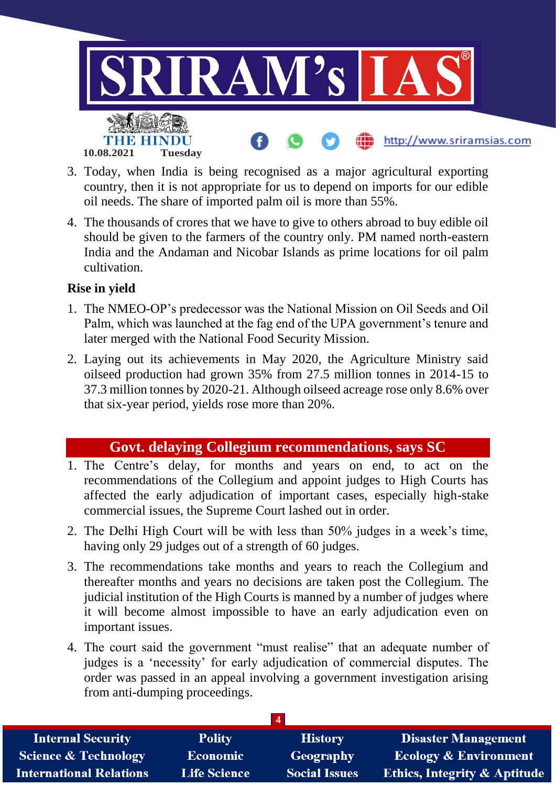

- 3. Today, when India is being recognised as a major agricultural exporting country, then it is not appropriate for us to depend on imports for our edible oil needs. The share of imported palm oil is more than 55%.
- 4. The thousands of crores that we have to give to others abroad to buy edible oil should be given to the farmers of the country only. PM named north-eastern India and the Andaman and Nicobar Islands as prime locations for oil palm cultivation.

#### **Rise in yield**

- 1. The NMEO-OP's predecessor was the National Mission on Oil Seeds and Oil Palm, which was launched at the fag end of the UPA government's tenure and later merged with the National Food Security Mission.
- 2. Laying out its achievements in May 2020, the Agriculture Ministry said oilseed production had grown 35% from 27.5 million tonnes in 2014-15 to 37.3 million tonnes by 2020-21. Although oilseed acreage rose only 8.6% over that six-year period, yields rose more than 20%.

## **Govt. delaying Collegium recommendations, says SC**

- 1. The Centre's delay, for months and years on end, to act on the recommendations of the Collegium and appoint judges to High Courts has affected the early adjudication of important cases, especially high-stake commercial issues, the Supreme Court lashed out in order.
- 2. The Delhi High Court will be with less than 50% judges in a week's time, having only 29 judges out of a strength of 60 judges.
- 3. The recommendations take months and years to reach the Collegium and thereafter months and years no decisions are taken post the Collegium. The judicial institution of the High Courts is manned by a number of judges where it will become almost impossible to have an early adjudication even on important issues.
- 4. The court said the government "must realise" that an adequate number of judges is a 'necessity' for early adjudication of commercial disputes. The order was passed in an appeal involving a government investigation arising from anti-dumping proceedings.

| <b>Internal Security</b>        | <b>Polity</b>       | <b>History</b>       | <b>Disaster Management</b>              |
|---------------------------------|---------------------|----------------------|-----------------------------------------|
| <b>Science &amp; Technology</b> | <b>Economic</b>     | Geography            | <b>Ecology &amp; Environment</b>        |
| <b>International Relations</b>  | <b>Life Science</b> | <b>Social Issues</b> | <b>Ethics, Integrity &amp; Aptitude</b> |